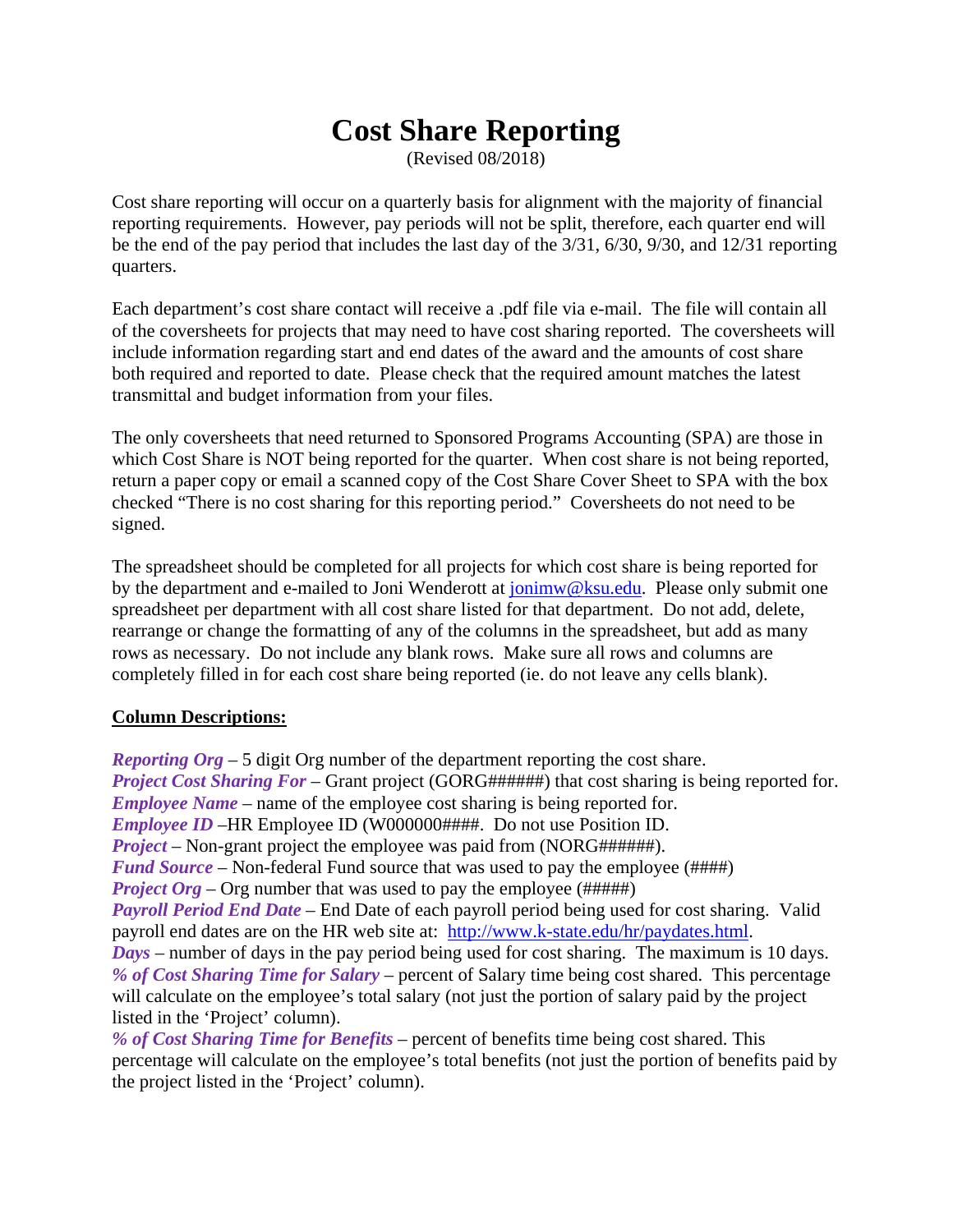# **Cost Share Reporting**

(Revised 08/2018)

Cost share reporting will occur on a quarterly basis for alignment with the majority of financial reporting requirements. However, pay periods will not be split, therefore, each quarter end will be the end of the pay period that includes the last day of the 3/31, 6/30, 9/30, and 12/31 reporting quarters.

Each department's cost share contact will receive a .pdf file via e-mail. The file will contain all of the coversheets for projects that may need to have cost sharing reported. The coversheets will include information regarding start and end dates of the award and the amounts of cost share both required and reported to date. Please check that the required amount matches the latest transmittal and budget information from your files.

The only coversheets that need returned to Sponsored Programs Accounting (SPA) are those in which Cost Share is NOT being reported for the quarter. When cost share is not being reported, return a paper copy or email a scanned copy of the Cost Share Cover Sheet to SPA with the box checked "There is no cost sharing for this reporting period." Coversheets do not need to be signed.

The spreadsheet should be completed for all projects for which cost share is being reported for by the department and e-mailed to Joni Wenderott at jonimw@ksu.edu. Please only submit one spreadsheet per department with all cost share listed for that department. Do not add, delete, rearrange or change the formatting of any of the columns in the spreadsheet, but add as many rows as necessary. Do not include any blank rows. Make sure all rows and columns are completely filled in for each cost share being reported (ie. do not leave any cells blank).

## **Column Descriptions:**

*Reporting Org* – 5 digit Org number of the department reporting the cost share. *Project Cost Sharing For* – Grant project (GORG######) that cost sharing is being reported for. *Employee Name* – name of the employee cost sharing is being reported for. *Employee ID* – HR Employee ID (W000000####. Do not use Position ID. *Project* – Non-grant project the employee was paid from (NORG######). *Fund Source* – Non-federal Fund source that was used to pay the employee (####) *Project Org* – Org number that was used to pay the employee (#####) *Payroll Period End Date* – End Date of each payroll period being used for cost sharing. Valid payroll end dates are on the HR web site at: http://www.k-state.edu/hr/paydates.html. *Days* – number of days in the pay period being used for cost sharing. The maximum is 10 days. *% of Cost Sharing Time for Salary* – percent of Salary time being cost shared. This percentage will calculate on the employee's total salary (not just the portion of salary paid by the project listed in the 'Project' column). *% of Cost Sharing Time for Benefits* – percent of benefits time being cost shared. This percentage will calculate on the employee's total benefits (not just the portion of benefits paid by

the project listed in the 'Project' column).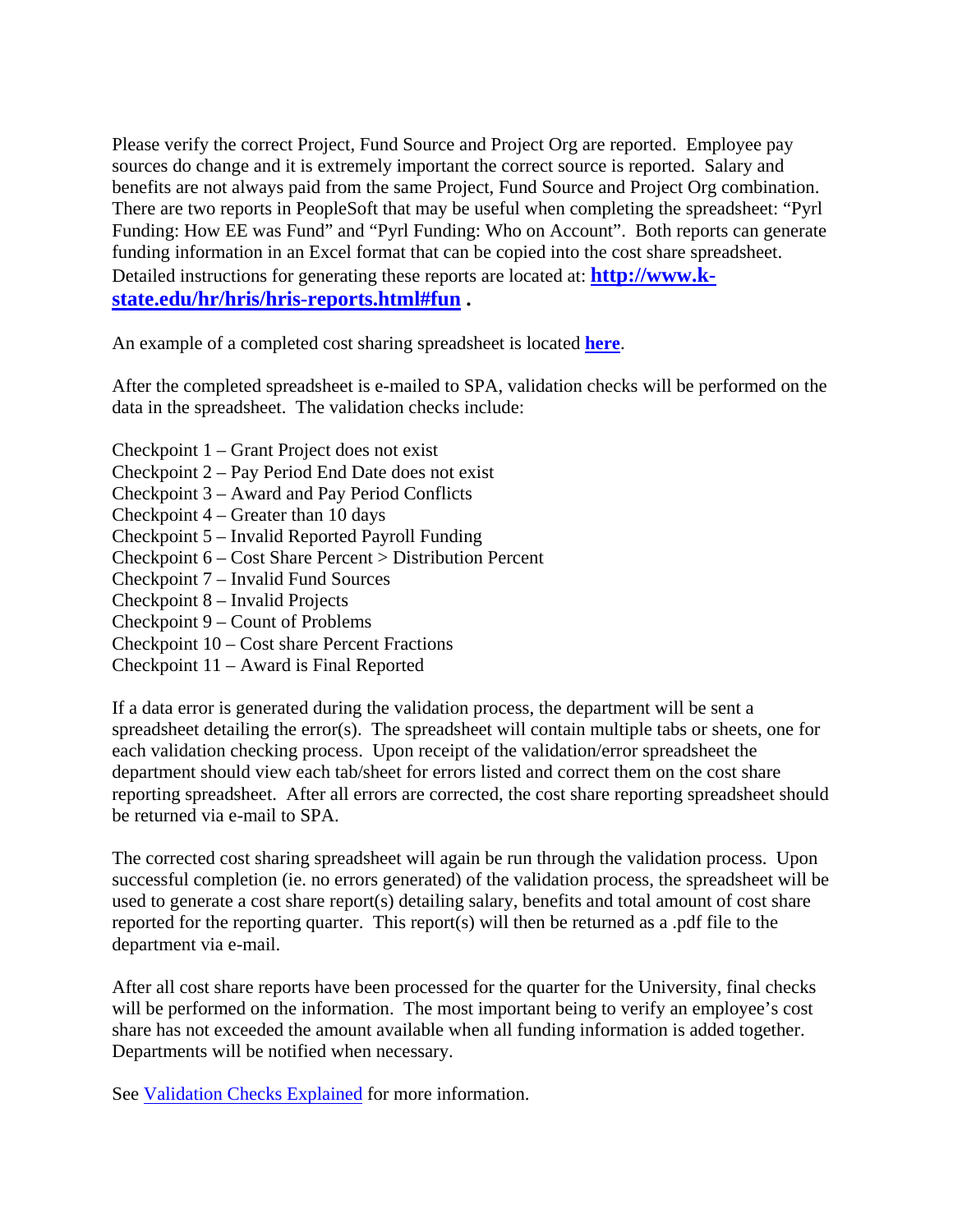Please verify the correct Project, Fund Source and Project Org are reported. Employee pay sources do change and it is extremely important the correct source is reported. Salary and benefits are not always paid from the same Project, Fund Source and Project Org combination. There are two reports in PeopleSoft that may be useful when completing the spreadsheet: "Pyrl Funding: How EE was Fund" and "Pyrl Funding: Who on Account". Both reports can generate funding information in an Excel format that can be copied into the cost share spreadsheet. Detailed instructions for generating these reports are located at: **http://www.kstate.edu/hr/hris/hris-reports.html#fun .**

An example of a completed cost sharing spreadsheet is located **here**.

After the completed spreadsheet is e-mailed to SPA, validation checks will be performed on the data in the spreadsheet. The validation checks include:

- Checkpoint 1 Grant Project does not exist
- Checkpoint 2 Pay Period End Date does not exist
- Checkpoint 3 Award and Pay Period Conflicts
- Checkpoint 4 Greater than 10 days
- Checkpoint 5 Invalid Reported Payroll Funding
- Checkpoint 6 Cost Share Percent > Distribution Percent
- Checkpoint 7 Invalid Fund Sources
- Checkpoint 8 Invalid Projects
- Checkpoint 9 Count of Problems
- Checkpoint 10 Cost share Percent Fractions
- Checkpoint 11 Award is Final Reported

If a data error is generated during the validation process, the department will be sent a spreadsheet detailing the error(s). The spreadsheet will contain multiple tabs or sheets, one for each validation checking process. Upon receipt of the validation/error spreadsheet the department should view each tab/sheet for errors listed and correct them on the cost share reporting spreadsheet. After all errors are corrected, the cost share reporting spreadsheet should be returned via e-mail to SPA.

The corrected cost sharing spreadsheet will again be run through the validation process. Upon successful completion (ie. no errors generated) of the validation process, the spreadsheet will be used to generate a cost share report(s) detailing salary, benefits and total amount of cost share reported for the reporting quarter. This report(s) will then be returned as a .pdf file to the department via e-mail.

After all cost share reports have been processed for the quarter for the University, final checks will be performed on the information. The most important being to verify an employee's cost share has not exceeded the amount available when all funding information is added together. Departments will be notified when necessary.

See Validation Checks Explained for more information.